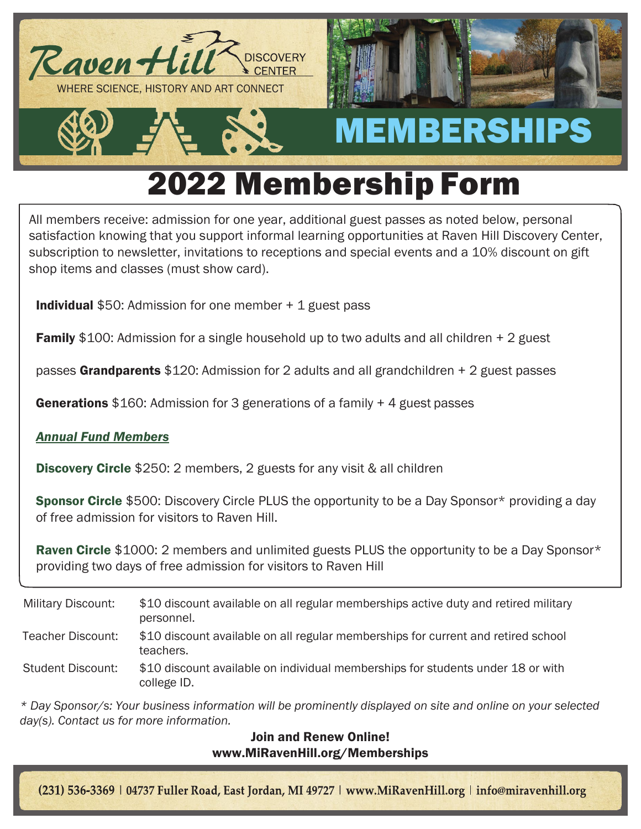

# 2022 Membership Form

All members receive: admission for one year, additional guest passes as noted below, personal satisfaction knowing that you support informal learning opportunities at Raven Hill Discovery Center, subscription to newsletter, invitations to receptions and special events and a 10% discount on gift shop items and classes (must show card).

**Individual** \$50: Admission for one member  $+1$  guest pass

**Family** \$100: Admission for a single household up to two adults and all children + 2 guest

passes Grandparents \$120: Admission for 2 adults and all grandchildren + 2 guest passes

**Generations** \$160: Admission for 3 generations of a family  $+$  4 guest passes

### *Annual Fund Members*

**Discovery Circle** \$250: 2 members, 2 guests for any visit & all children

**Sponsor Circle** \$500: Discovery Circle PLUS the opportunity to be a Day Sponsor\* providing a day of free admission for visitors to Raven Hill.

**Raven Circle** \$1000: 2 members and unlimited guests PLUS the opportunity to be a Day Sponsor\* providing two days of free admission for visitors to Raven Hill

Military Discount: \$10 discount available on all regular memberships active duty and retired military personnel. Teacher Discount: \$10 discount available on all regular memberships for current and retired school teachers. Student Discount: \$10 discount available on individual memberships for students under 18 or with college ID.

*\* Day Sponsor/s: Your business information will be prominently displayed on site and online on your selected day(s). Contact us for more information.*

### Join and Renew Online! [www.MiRavenHill.org/Memberships](http://www.miravenhill.org/Memberships)

(231) 536-3369 | 04737 Fuller Road, East Jordan, MI 49727 | www.MiRavenHill.org | info@miravenhill.org